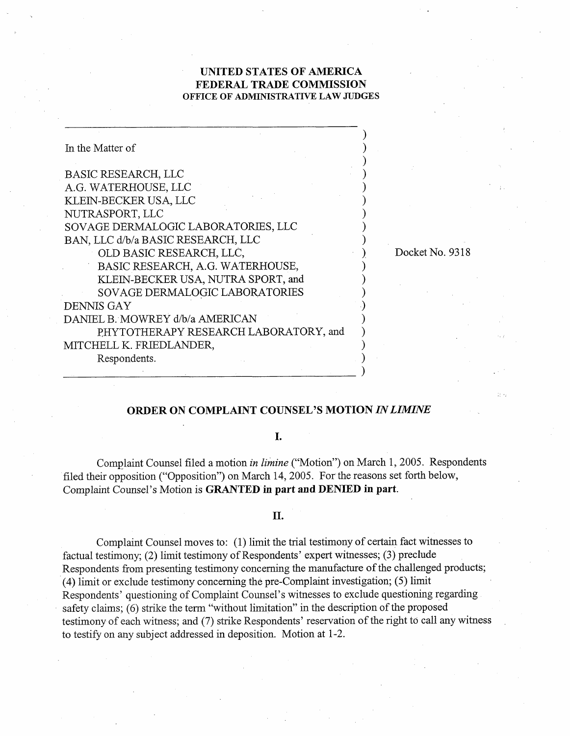# **UNITED STATES OF AMERICA FEDERAL TRADE COMMISSION OFFICE OF ADMINISTRATIVE LAW JUDGES**

| In the Matter of                      |
|---------------------------------------|
| <b>BASIC RESEARCH, LLC</b>            |
| A.G. WATERHOUSE, LLC                  |
| KLEIN-BECKER USA, LLC                 |
| NUTRASPORT, LLC                       |
| SOVAGE DERMALOGIC LABORATORIES, LLC   |
| BAN, LLC d/b/a BASIC RESEARCH, LLC    |
| OLD BASIC RESEARCH, LLC,              |
| BASIC RESEARCH, A.G. WATERHOUSE,      |
| KLEIN-BECKER USA, NUTRA SPORT, and    |
| SOVAGE DERMALOGIC LABORATORIES        |
| <b>DENNIS GAY</b>                     |
| DANIEL B. MOWREY d/b/a AMERICAN       |
| PHYTOTHERAPY RESEARCH LABORATORY, and |
| MITCHELL K. FRIEDLANDER,              |
| Respondents.                          |
|                                       |

Docket No. 9318

# **ORDER ON COMPLAINT COUNSEL'S MOTION IN LIMINE**

### I.

Complaint Counsel filed a motion in *limine* ("Motion") on March 1, 2005. Respondents filed their opposition ("Opposition") on March 14, 2005. For the reasons set forth below, Complaint Counsel's Motion is **GRANTED in part and DENIED in part.** 

## II.

Complaint Counsel moves to: (1) limit the trial testimony of certain fact witnesses to factual testimony; (2) limit testimony of Respondents' expert witnesses; (3) preclude Respondents from presenting testimony concerning the manufacture of the challenged products; (4) limit or exclude testimony concerning the pre-Complaint investigation; (5) limit Respondents' questioning of Complaint Counsel's witnesses to exclude questioning regarding safety claims; (6) strike the tern "without limitation" in the description of the proposed testimony of each witness; and (7) strike Respondents' reservation of the right to call any witness to testify on any subject addressed in deposition. Motion at 1-2.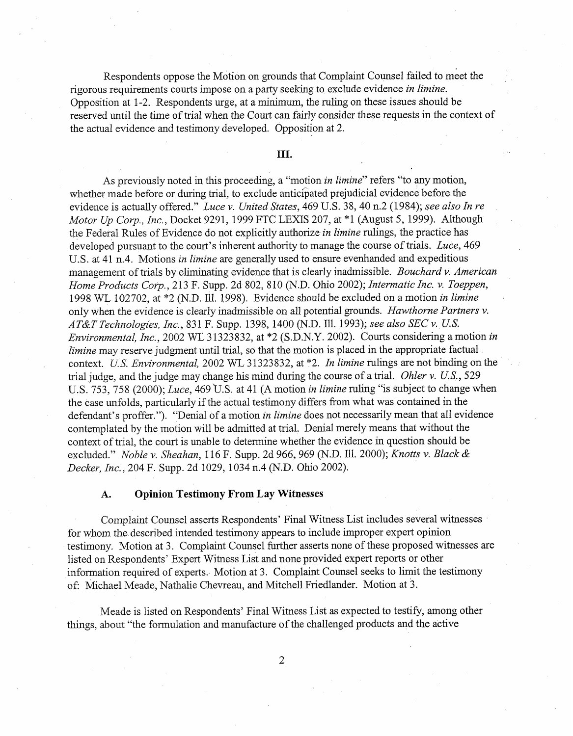Respondents oppose the Motion on grounds that Complaint Counsel failed to meet the rigorous requirements courts impose on a party seeking to exclude evidence in limine. Opposition at 1-2. Respondents urge, at a minimum, the ruling on these issues should be reserved until the time of trial when the Court can fairly consider these requests in the context of the actual evidence and testimony developed. Opposition at 2.

### Ш.

As previously noted in this proceeding, a "motion *in limine*" refers "to any motion, whether made before or during trial, to exclude anticipated prejudicial evidence before the evidence is actually offered." Luce v. United States, 469 U.S. 38,40 n.2 (1984); see also In re Motor Up Corp., *Inc.,* Docket 9291, 1999 FTC LEXIS 207, at \* 1 (August 5, 1999). Although the Federal Rules of Evidence do not explicitly authorize in limine rulings, the practice has developed pursuant to the court's inherent authority to manage the course of trials. *Luce*, 469 U.S. at 41 n.4. Motions in limine are generally used to ensure evenhanded and expeditious management of trials by eliminating evidence that is clearly inadmissible. *Bouchard v. American* Home Products Corp., 213 F. Supp. 2d 802, 810 (N.D. Ohio 2002); Intermatic Inc. v. Toeppen, 1998 WL 102702, at \*2 (N.D. Ill. 1998). Evidence should be excluded on a motion in limine only when the evidence is clearly inadmissible on all potential grounds. Hawthorne Partners v. AT&T Technologies, Inc., 831 F. Supp. 1398, 1400 (N.D. Ill. 1993); see also SEC v. U.S. Environmental, *Inc.*, 2002 WL 31323832, at \*2 (S.D.N.Y. 2002). Courts considering a motion in limine may reserve judgment until trial, so that the motion is placed in the appropriate factual context. U.S. Environmental, 2002 WL 31323832, at \*2. In limine rulings are not binding on the trial judge, and the judge may change his mind during the course of a trial. Ohler v. U.S., 529 U.S. 753, 758 (2000); Luce, 469 U.S. at 41 (A motion in limine ruling "is subject to change when the case unfolds, particularly if the actual testimony differs from what was contained in the defendant's proffer."). "Denial of a motion in limine does not necessarily mean that all evidence contemplated by the motion will be admitted at trial. Denial merely means that without the context of trial, the court is unable to determine whether the evidence in question should be excluded." Noble v. Sheahan, 116 F. Supp. 2d 966, 969 (N.D. Ill. 2000); Knotts v. Black & Decker, Inc., 204 F. Supp. 2d 1029, 1034 n.4 (N.D. Ohio 2002).

# **A. Opinion Testimony From Lay Witnesses**

Complaint Counsel asserts Respondents' Final Witness List includes several witnesses for whom the described intended testimony appears to include improper expert opinion testimony. Motion at 3. Complaint Counsel further asserts none of these proposed witnesses are listed on Respondents' Expert Witness List and none provided expert reports or other information required of experts. Motion at 3. Complaint Counsel seeks to limit the testimony of: Michael Meade, Nathalie Chevreau, and Mitchell Friedlander. Motion at 3.

Meade is listed on Respondents' Final Witness List as expected to testify, among other things, about "the formulation and manufacture of the challenged products and the active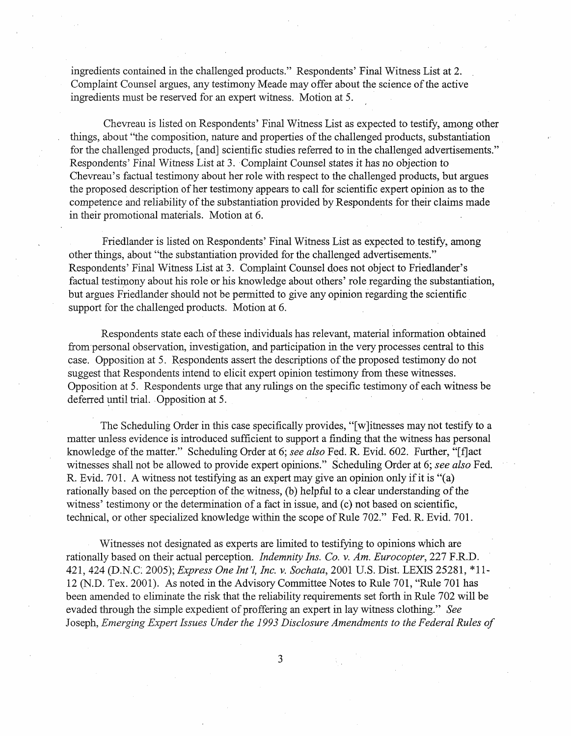ingredients contained in the challenged products." Respondents' Final Witness List at 2. Complaint Counsel argues, any testimony Meade may offer about the science of the active ingredients must be reserved for an expert witness. Motion at 5.

Chevreau is listed on Respondents' Final Witness List as expected to testify, among other . things, about "the composition, nature and properties of the challenged products, substantiation for the challenged products, [and] scientific studies referred to in the challenged advertisements." Respondents' Final Witness List at 3. Complaint Counsel states it has no objection to Chevreau's factual testimony about her role with respect to the challenged products, but argues the proposed description of her testimony appears to call for scientific expert opinion as to the competence and reliability of the substantiation provided by Respondents for their claims made in their promotional materials. Motion at 6.

Friedlander is listed on Respondents' Final Witness List as expected to testify, among other things, about "the substantiation provided for the challenged advertisements." Respondents' Final Witness List at 3. Complaint Counsel does not object to Friedlander's factual testimony about his role or his knowledge about others' role regarding the substantiation, but argues Friedlander should not be permitted to give any opinion regarding the scientific support for the challenged products. Motion at 6.

Respondents state each of these individuals has relevant, material information obtained from personal observation, investigation, and participation in the very processes central to this case. Opposition at *5.* Respondents assert the descriptions of the proposed testimony do not suggest that Respondents intend to elicit expert opinion testimony from these witnesses. Opposition at 5. Respondents urge that any rulings on the specific testimony of each witness be deferred until trial. Opposition at 5.

The Scheduling Order in this case specifically provides, "[w]itnesses may not testify to a matter unless evidence is introduced sufficient to support a finding that the witness has personal knowledge of the matter." Scheduling Order at 6; see also Fed. R. Evid. 602. Further, "[f]act witnesses shall not be allowed to provide expert opinions." Scheduling Order at 6; *see also* Fed. R. Evid. 701. A witness not testifying as an expert may give an opinion only if it is "(a) rationally based on the perception of the witness, (b) helpful to a clear understanding of the witness' testimony or the determination of a fact in issue, and (c) not based on scientific, technical, or other specialized knowledge within the scope of Rule 702." Fed. R. Evid. 701.

Witnesses not designated as experts are limited to testifying to opinions which are rationally based on their actual perception. *Indemnity Ins. Co.* v. *Am. Eurocoptev,* 227 *F.R.D.*  42 1,424 (l3.N.C: 2005); *Express One Int* '1, *Inc.* **v.** *Sochata,* 2001 *U.S.* Dist. LEXIS 2528 1, "1 1 - 12 (N.D. Tex. 2001). As noted in the Advisory Committee Notes to Rule 701, "Rule 701 has been amended to eliminate the risk that the reliability requirements set forth in Rule 702 will be evaded through the simple expedient of proffering an expert in lay witness clothing." *See* Joseph, *Emerging Expert Issues Under the I993 Disclosure Amendments to the Federal Rules of* 

 $\overline{3}$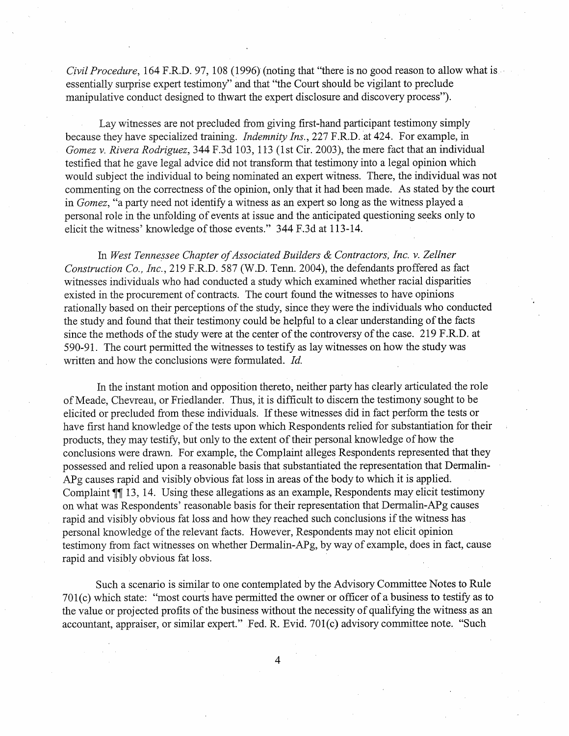Civil Procedure, 164 F.R.D. 97, 108 (1996) (noting that "there is no good reason to allow what is essentially surprise expert testimony" and that "the Court should be vigilant to preclude manipulative conduct designed to thwart the expert disclosure and discovery process").

Lay witnesses are not precluded fiom giving first-hand participant testimony simply because they have specialized training. Indemnity Ins., 227 F.R.D. at 424. For example, in Gomez v. Rivera Rodriguez, 344 F.3d 103, 113 (1st Cir. 2003), the mere fact that an individual testified that he gave legal advice did not transform that testimony into a legal opinion which would subject the individual to being nominated an expert witness. There, the individual was not commenting on the correctness of the opinion, only that it had been made. As stated by the court in Gomez, "a party need not identify a witness as an expert so long as the witness played a personal role in the unfolding of events at issue and the anticipated questioning seeks only to elicit the witness' knowledge of those events." 344 F.3d at 113-14.

In West Tennessee Chapter of Associated Builders & Contractors, Inc. v. Zellner Construction Co., Inc., 219 F.R.D. 587 (W.D. Tenn. 2004), the defendants proffered as fact witnesses individuals who had conducted a study which examined whether racial disparities existed in the procurement of contracts. The court found the witnesses to have opinions rationally based on their perceptions of the study, since they were the individuals who conducted the study and found that their testimony could be helpful to a clear understanding of the facts since the methods of the study were at the center of the controversy of the case. 219 F.R.D. at 590-91. The court permitted the witnesses to testify as lay witnesses on how the study was written and how the conclusions were formulated.  $Id$ .

In the instant motion and opposition thereto, neither party has clearly articulated the role of Meade, Chevreau, or Friedlander. Thus, it is difficult to discern the testimony sought to be elicited or precluded fiom these individuals. If these witnesses did in fact perform the tests or have first hand knowledge of the tests upon which Respondents relied for substantiation for their products, they may testify, but only to the extent of their personal knowledge of how the conclusions were drawn. For example, the Complaint alleges Respondents represented that they possessed and relied upon a reasonable basis that substantiated the representation that Dermalin-APg causes rapid and visibly obvious fat loss in areas of the body to which it is applied. Complaint  $\P$ <sup>13</sup>, 14. Using these allegations as an example, Respondents may elicit testimony on what was Respondents' reasonable basis for their representation that Dermalin-APg causes rapid and visibly obvious fat loss and how they reached such conclusions if the witness has personal knowledge of the relevant facts. However, Respondents may not elicit opinion testimony fiom fact witnesses on whether Derrnalin-APg, by way of example, does in fact, cause rapid and visibly obvious fat loss.

Such a scenario is similar to one contemplated by the Advisory Committee Notes to Rule 701(c) which state: "most courts have permitted the owner or officer of a business to testify as to the value or projected profits of the business without the necessity of qualifying the witness as an accountant, appraiser, or similar expert." Fed. R. Evid. 701(c) advisory committee note. "Such

 $\overline{4}$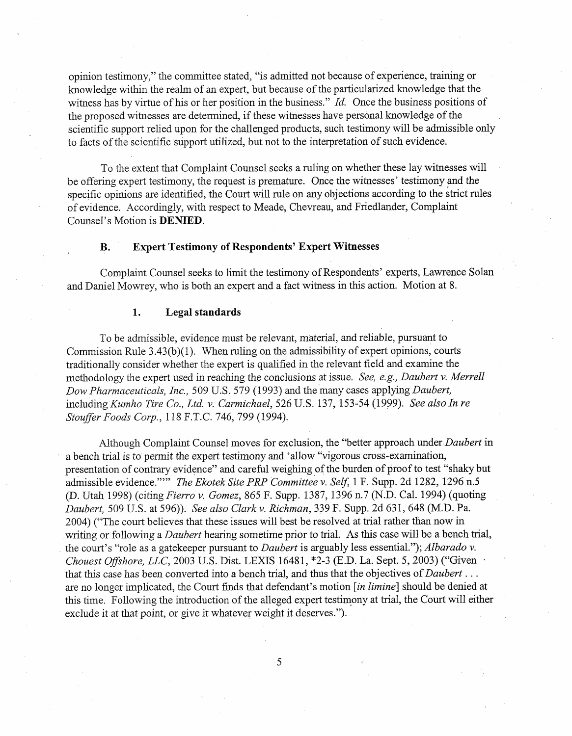opinion testimony," the committee stated, "is admitted not because of experience, training or knowledge within the realm of an expert, but because of the particularized knowledge that the witness has by virtue of his or her position in the business." *Id.* Once the business positions of the proposed witnesses are determined, if these witnesses have personal knowledge of the scientific support relied upon for the challenged products, such testimony will be admissible only to facts of the scientific support utilized, but not to the interpretation of such evidence.

To the extent that Complaint Counsel seeks a ruling on whether these lay witnesses will , be offering expert testimony, the request is premature. Once the witnesses' testimony and the specific opinions are identified, the Court will rule on any objections according to the strict rules of evidence. Accordingly, with respect to Meade, Chevreau, and Friedlander, Complaint Counsel's Motion is **DENIED.** 

# **B. Expert Testimony of Respondents' Expert Witnesses**

Complaint Counsel seeks to limit the testimony of Respondents' experts, Lawrence Solan and Daniel Mowrey, who is both an expert and a fact witness in this action. Motion at 8.

### **1. Legal standards**

To be admissible, evidence must be relevant, material, and reliable, pursuant to Commission Rule 3.43(b)(l). When ruling on the admissibility of expert opinions, courts traditionally consider whether the expert is qualified in the relevant field and examine the methodology the expert used in reaching the conclusions at issue. *See, e.g., Dnubert* **v.** *Merrell Dow Pharmaceuticals, Inc.,* 509 U.S. 579 (1993) and the many cases applying *Daubert,* including *Kumho Tire Co., Ltd.* v. *Carmzchael,* 526 U.S. 137, 153-54 (1999). *See also* In *re Stouffer Foods Corp., 118 F.T.C. 746, 799 (1994).* 

Although Complaint Counsel moves for exclusion, the "better approach under *Daubert* in a bench trial is to permit the expert testimony and 'allow "vigorous cross-examination, presentation of contrary evidence" and careful weighing of the burden of proof to test "shaky but admissible evidence.""' *The Ekotek Site PRP Committee* v. *Self;* 1 *F.* Supp. 2d 1282, 1296 n.5 (D. Utah 1998) (citing *Fierro* v. *Gomez,* 865 *F.* Supp. 1387, 1396 n.7 (N.D. Cal. 1994) (quoting *Daubert,* 509 U.S. at 596)). *See also Clark* v. *Richman,* 339 *F.* Supp. 2d 631,648 (M.D. Pa. 2004) ("The court believes that these issues will best be resolved at trial rather than now in writing or following a *Daubert* hearing sometime prior to trial. As this case will be a bench trial, the court's "role as a gatekeeper pursuant to *Daubert* is arguably less essential."); *Albarado* v. *Chouest Offshore, LLC,* 2003 U.S. Dist. LEXIS 16481, \*2-3 (E.D. La. Sept. 5,2003) ("Given that ths case has been converted into a bench trial, and thus that the objectives of *Daubert* . . . are no longer implicated, the Court finds that defendant's motion *[in limine]* should be denied at this time. Following the introduction of the alleged expert testimony at trial, the Court will either exclude it at that point, or give it whatever weight it deserves.").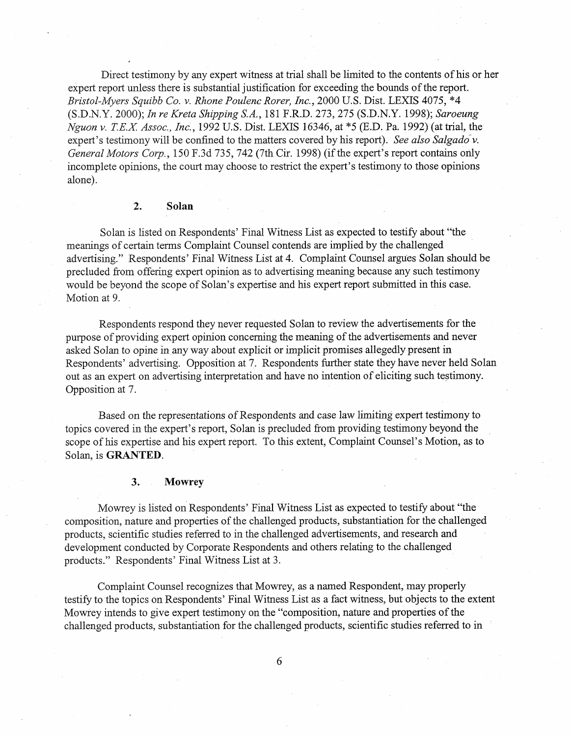Direct testimony by any expert witness at trial shall be limited to the contents of his or her expert report unless there is substantial justification for exceeding the bounds of the report. Bristol-Myers Sqwibb Co. v. Rhone Poulenc Rorer, Inc., 2000 U.S. Dist. LEXIS 4075, \*4 (S.D.N.Y. 2000); In re Kreta Shipping S.A., 181 F.R.D. 273,275 (S.D.N.Y. 1998); Saroeung Nguon v. *T.E.X* Assoc., Inc., 1992 U.S. Dist. LEXIS 16346, at *\*5* (E.D. Pa. 1992) (at trial, the expert's testimony will be confined to the matters covered by his report). See also Salgado v. General Motors Corp., 150 F.3d 735, 742 (7th Cir. 1998) (if the expert's report contains only incomplete opinions, the court may choose to restrict the expert's testimony to those opinions alone).

#### $\overline{2}$ . Solan

Solan is listed on Respondents' Final Witness List as expected to testify about "the meanings of certain terns Complaint Counsel contends are implied by the challenged advertising." Respondents' Final Witness List at 4. Complaint Counsel argues Solan should be precluded from offering expert opinion as to advertising meaning because any such testimony would be beyond the scope of Solan's expertise and his expert report submitted in this case. Motion at 9.

Respondents respond they never requested Solan to review the advertisements for the purpose of providing expert opinion concerning the meaning of the advertisements and never asked Solan to opine in any way about explicit or implicit promises allegedly present in Respondents' advertising. Opposition at 7. Respondents further state they have never held Solan out as an expert on advertising interpretation and have no intention of eliciting such testimony. Opposition at 7.

Based on the representations of Respondents and case law limiting expert testimony to topics covered in the expert's report, Solan is precluded from providing testimony beyond the scope of his expertise and his expert report. To this extent, Complaint Counsel's Motion, as to Solan, is GRANTED.

### **3. Mowrey**

Mowrey is listed on Respondents' Final Witness List as expected to testify about "the composition, nature and properties of the challenged products, substantiation for the challenged products, scientific studies referred to in the challenged advertisements, and research and development conducted by Corporate Respondents and others relating to the challenged products." Respondents' Final Witness List at 3.

Complaint Counsel recognizes that Mowrey, as a named Respondent, may properly testify to the topics on Respondents' Final Witness List as a fact witness, but objects to the extent Mowrey intends to give expert testimony on the "composition, nature and properties of the challenged products, substantiation for the challenged products, scientific studies referred to in

6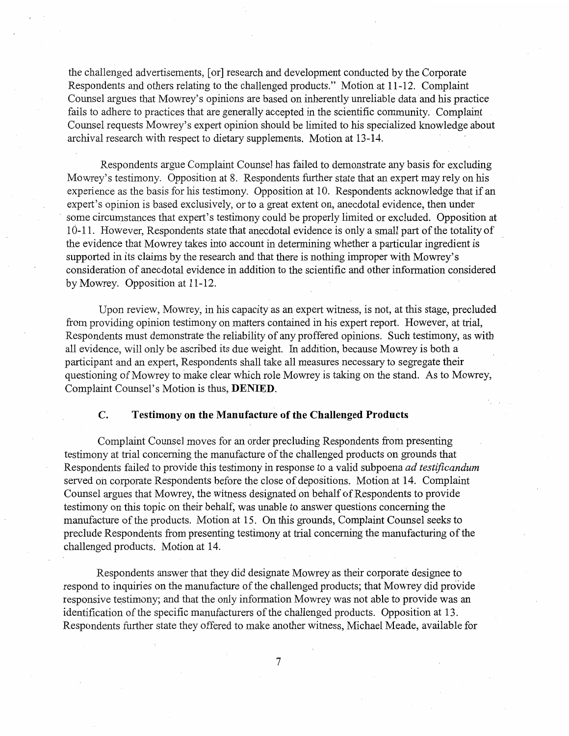the challenged advertisements, [or] research and development conducted by the Corporate Respondents and others relating to the challenged products." Motion at 11-12. Complaint Counsel argues that Mowrey's opinions are based on inherently unreliable data and his practice fails to adhere to practices that are generally accepted in the scientific community. Complaint Counsel requests Mowrey's expert opinion should be limited to his specialized knowledge about archival research with respect to dietary supplements. Motion at 13-14.

Respondents argue Complaint Counsel has failed to demonstrate any basis for excluding Mowrey's testimony. Opposition at 8. Respondents further state that an expert may rely on his experience as the basis for his testimony. Opposition at 10. Respondents acknowledge that if an expert's opinion is based exclusively, or to a great extent on, anecdotal evidence, then under some circumstances that expert's testimony could be properly limited or excluded. Opposition at 10-11. However, Respondents state that anecdotal evidence is only a small part of the totality of the evidence that Mowrey takes into account in determining whether a particular ingredient is supported in its claims by the research and that there is nothing improper with Mowrey's consideration of anecdotal evidence in addition to the scientific and other information considered by Mowrey. Opposition at 11-12.

Upon review, Mowrey, in his capacity as an expert witness, is not, at this stage, precluded from providing opinion testimony on matters contained in his expert report. However, at trial, Respondents must demonstrate the reliability of any proffered opinions. Such testimony, as with all evidence, will only be ascribed its due weight. In addition, because Mowrey is both a participant and an expert, Respondents shall take all measures necessary to segregate their questioning of Mowrey to make clear which role Mowrey is taking on the stand. As to Mowrey, Complaint Counsel's Motion is thus, DENIED.

## **C. Testimony on the Manufacture of the Challenged Products**

Complaint Counsel moves for an order precluding Respondents from presenting testimony at trial concerning the manufacture of the challenged products on grounds that Respondents failed to provide this testimony in response to a valid subpoena *ad testificandum* served on corporate Respondents before the close of depositions. Motion at 14. Complaint Counsel argues that Mowrey, the witness designated on behalf of Respondents to provide testimony on this topic on their behalf, was unable to answer questions concerning the manufacture of the products. Motion at 15. On this grounds, Complaint Counsel seeks to preclude Respondents from presenting testimony at trial concerning the manufacturing of the challenged products. Motion at 14.

Respondents answer that they did designate Mowrey as their corporate designee to respond to inquiries on the manufacture of the challenged products; that Mowrey did provide responsive testimony; and that the only infomation Mowrey was not able to provide was an identification of the specific manufacturers of the challenged products. Opposition at 13. Respondents further state they offered to make another witness, Michael Meade, available for

 $\overline{7}$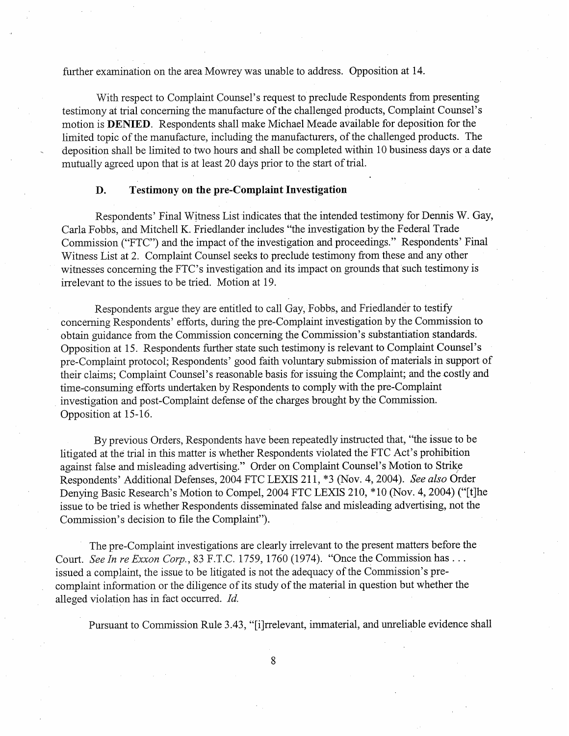further examination on the area Mowrey was unable to address. Opposition at 14.

With respect to Complaint Counsel's request to preclude Respondents from presenting testimony at trial conceming the manufacture of the challenged products, Complaint Counsel's motion is DENIED. Respondents shall make Michael Meade available for deposition for the limited topic of the manufacture, including the manufacturers, of the challenged products. The . deposition shall be limited to two hours and shall be completed within 10 business days or a date mutually agreed upon that is at least 20 days prior to the start of trial.

# **D. Testimony on the pre-Complaint Investigation**

Respondents' Final Witness List indicates that the intended testimony for Dennis W. Gay, Carla Fobbs, and Mitchell K. Friedlander includes "the investigation by the Federal Trade Commission ("FTC") and the impact of the investigation and proceedings." Respondents' Final Witness List at 2. Complaint Counsel seeks to preclude testimony from these and any other witnesses concerning the FTC's investigation and its impact on grounds that such testimony is irrelevant to the issues to be tried. Motion at 19.

Respondents argue they are entitled to call Gay, Fobbs, and Friedlander to testify concerning Respondents' efforts, during the pre-Complaint investigation by the Commission to obtain guidance from the Commission conceming the Commission's substantiation standards. Opposition at 15. Respondents further state such testimony is relevant to Complaint Counsel's pre-Complaint protocol; Respondents' good faith voluntary submission of materials in support of their claims; Complaint Counsel's reasonable basis for issuing the Complaint; and the costly and time-consuming efforts undertalcen by Respondents to comply with the pre-Complaint investigation and post-Complaint defense of the charges brought by the Commission. Opposition at 15-16.

By previous Orders, Respondents have been repeatedly instructed that, "the issue to be litigated at the trial in this matter is whether Respondents violated the FTC Act's prohibition against false and misleading advertising." Order on Complaint Counsel's Motion to Strike Respondents' Additional Defenses, 2004 FTC LEXIS 21 1, \*3 (Nov. 4,2004). *See also* Order Denying Basic Research's Motion to Compel, 2004 FTC LEXIS 210, \* 10 (Nov. 4,2004) ("[tlhe issue to be tried is whether Respondents disseminated false and misleading advertising, not the Commission's decision to file the Complaint").

The pre-Complaint investigations are clearly irrelevant to the present matters before the Court. *See In re Exxon Corp.*, 83 F.T.C. 1759, 1760 (1974). "Once the Commission has . . . issued a complaint, the issue to be litigated is not the adequacy of the Commission's precomplaint information or the diligence of its study of the material in question but whether the alleged violation has in fact occurred. *Id.* 

Pursuant to Commission Rule 3.43, "[ilrrelevant, immaterial, and unreliable evidence shall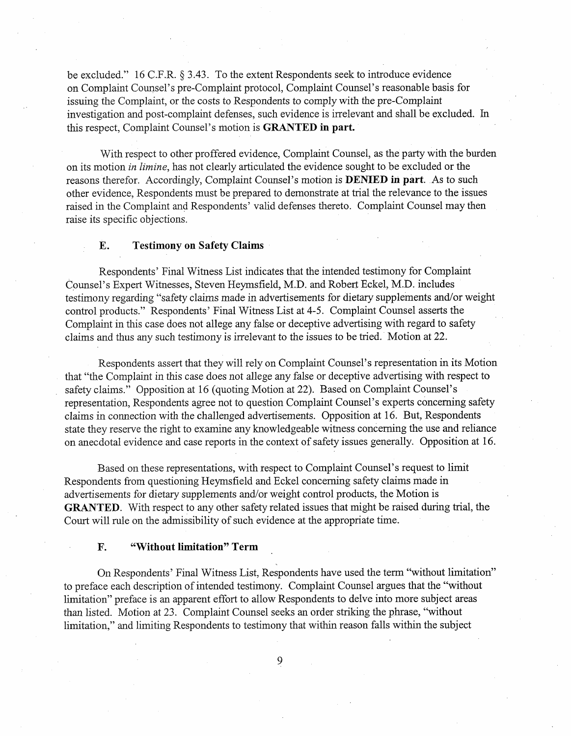be excluded." 16 C.F.R. *5* 3.43. To the extent Respondents seek to introduce evidence on Complaint Counsel's pre-Complaint protocol, Complaint Counsel's reasonable basis for issuing the Complaint, or the costs to Respondents to comply with the pre-Complaint investigation and post-complaint defenses, such evidence is irrelevant and shall be excluded. In this respect, Complaint Counsel's motion is **GRANTED in part.** 

With respect to other proffered evidence, Complaint Counsel, as the party with the burden on its motion *in limine*, has not clearly articulated the evidence sought to be excluded or the reasons therefor. Accordingly, Complaint Counsel's motion is DENIED in **part.** As to such other evidence, Respondents must be prepared to demonstrate at trial the relevance to the issues raised in the Complaint and Respondents' valid defenses thereto. Complaint Counsel may then raise its specific objections.

# **E. Testimony on Safety Claims**

Respondents' Final Witness List indicates that the intended testimony for Complaint Counsel's Expert Witnesses, Steven Heymsfield, M.D. and Robert Eckel, M.D. includes testimony regarding "safety claims made in advertisements for dietary supplements and/or weight control products." Respondents' Final Witness List at 4-5. Complaint Counsel asserts the Complaint in this case does not allege any false or deceptive advertising with regard to safety claims and thus any such testimony is irrelevant to the issues to be tried. Motion at 22.

Respondents assert that they will rely on Complaint Counsel's representation in its Motion that "the Complaint in this case does not allege any false or deceptive advertising with respect to safety claims." Opposition at 16 (quoting Motion at 22). Based on Complaint Counsel's representation, Respondents agree not to question Complaint Counsel's experts conceming safety claims in connection with the challenged advertisements. Opposition at 16. But, Respondents state they reserve the right to examine any knowledgeable witness concerning the use and reliance on anecdotal evidence and case reports in the context of safety issues generally. Opposition at 16.

Based on these representations, with respect to Complaint Counsel's request to limit Respondents from questioning Heyrnsfield and Eckel concerning safety claims made in advertisements for dietary supplements and/or weight control products, the Motion is **GRANTED.** With respect to any other safety related issues that might be raised during trial, the Court will rule on the admissibility of such evidence at the appropriate time.

## **F. "Without limitation" Term**

On Respondents' Final Witness List, Respondents have used the terrn "without limitation" to preface each description of intended testimony. Complaint Counsel argues that the "without limitation" preface is an apparent effort to allow Respondents to delve into more subject areas than listed. Motion at 23. Complaint Counsel seeks an order striking the phrase, "without limitation," and limiting Respondents to testimony that within reason falls within the subject

9